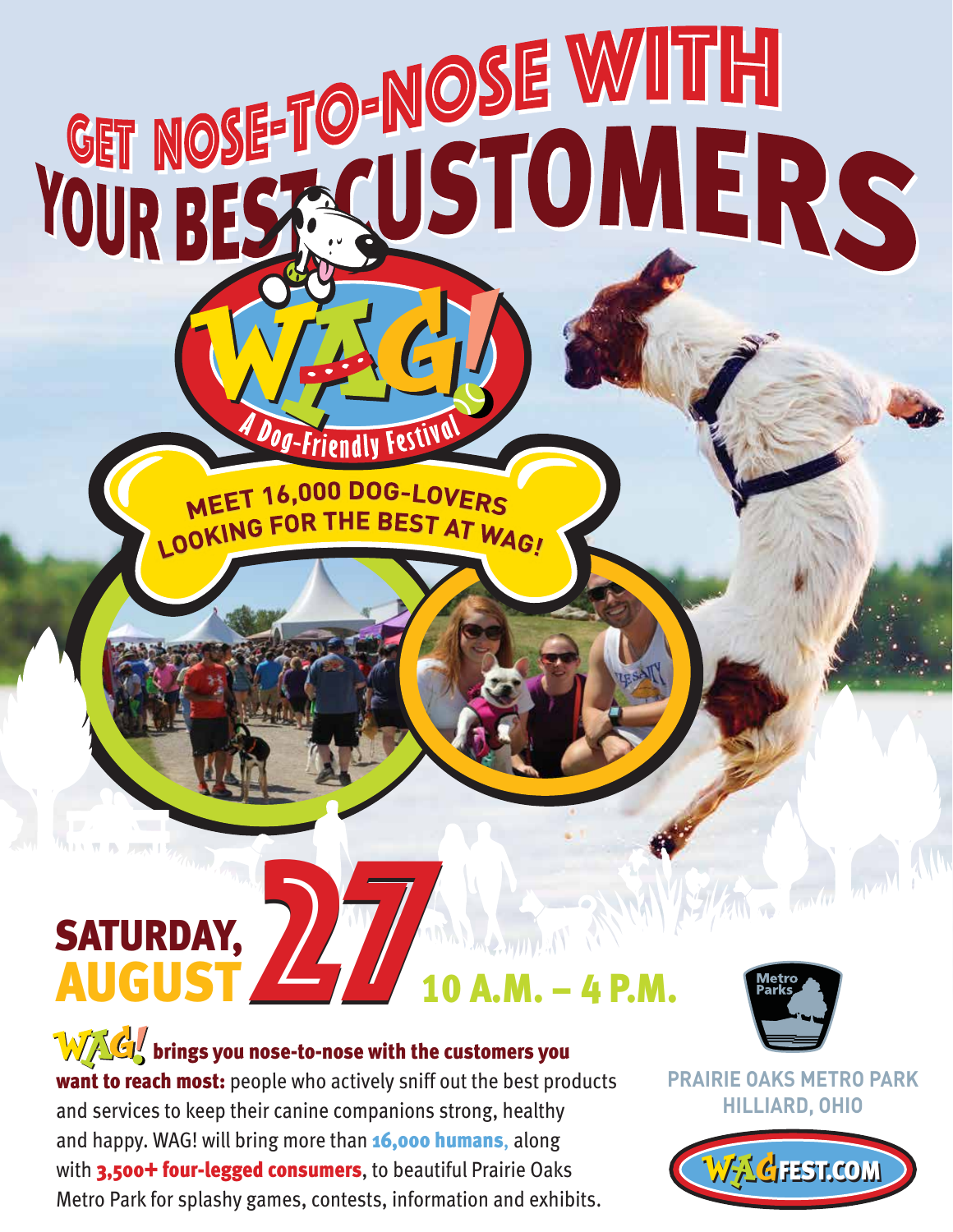## SATURDAY, SATURDAY, **2710 A.M. – 4 P.M.**

Dog-Friendly Festival

MEET 16,000 DOG-LOVERS

LOOKING FOR THE BEST AT WAG!

**GET NOSE TO-NOSE WITH** 

 $\mathbf{W}\mathbf{C}$  brings you nose-to-nose with the customers you want to reach most: people who actively sniff out the best products and services to keep their canine companions strong, healthy and happy. WAG! will bring more than **16,000 humans**, along with 3,500+ four-legged consumers, to beautiful Prairie Oaks Metro Park for splashy games, contests, information and exhibits.



The Fairly

**PRAIRIE OAKS METRO PARK HILLIARD, OHIO**

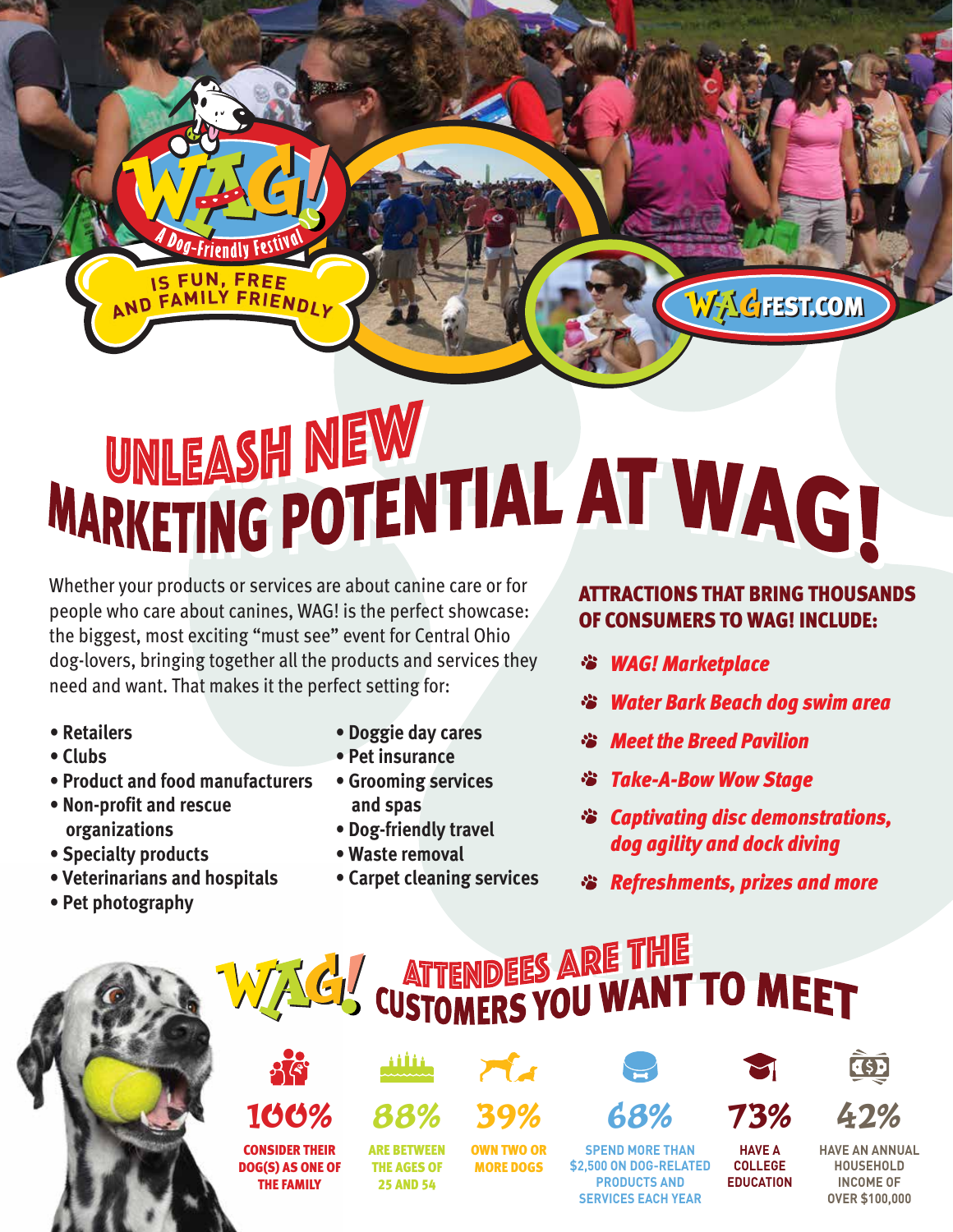### UNLEASH NEW WARKETING POTENTIAL AT WAG!

Whether your products or services are about canine care or for people who care about canines, WAG! is the perfect showcase: the biggest, most exciting "must see" event for Central Ohio dog-lovers, bringing together all the products and services they need and want. That makes it the perfect setting for:

*-Friendly Festl* 

IS FUN, FREE

DOG(S) AS ONE OF THE FAMILY

100%

- **Retailers**
- **Clubs**
- **Product and food manufacturers**
- **Non-profit and rescue organizations**
- **Specialty products**
- **Veterinarians and hospitals**

**Contract Contract** 

**• Pet photography**

- **Doggie day cares**
- **Pet insurance**
- **Grooming services and spas**
- **Dog-friendly travel**
- **Waste removal**

ARE BETWEEN

**• Carpet cleaning services**

#### ATTRACTIONS THAT BRING THOUSANDS OF CONSUMERS TO WAG! INCLUDE:

WAGFEST.COM

*WAG! Marketplace*

**SERVICES EXCHANGE** 

88% 39% 68% 73% 42%

- *Water Bark Beach dog swim area*  学
- *Meet the Breed Pavilion*
- *Take-A-Bow Wow Stage* ₩
- *Captivating disc demonstrations, dog agility and dock diving*
- *Refreshments, prizes and more*

**EDUCATION**

**OVER \$100,000**

**EXAMPLE 18 ARE THE CUSTOMERS YOU WANT TO MEET**